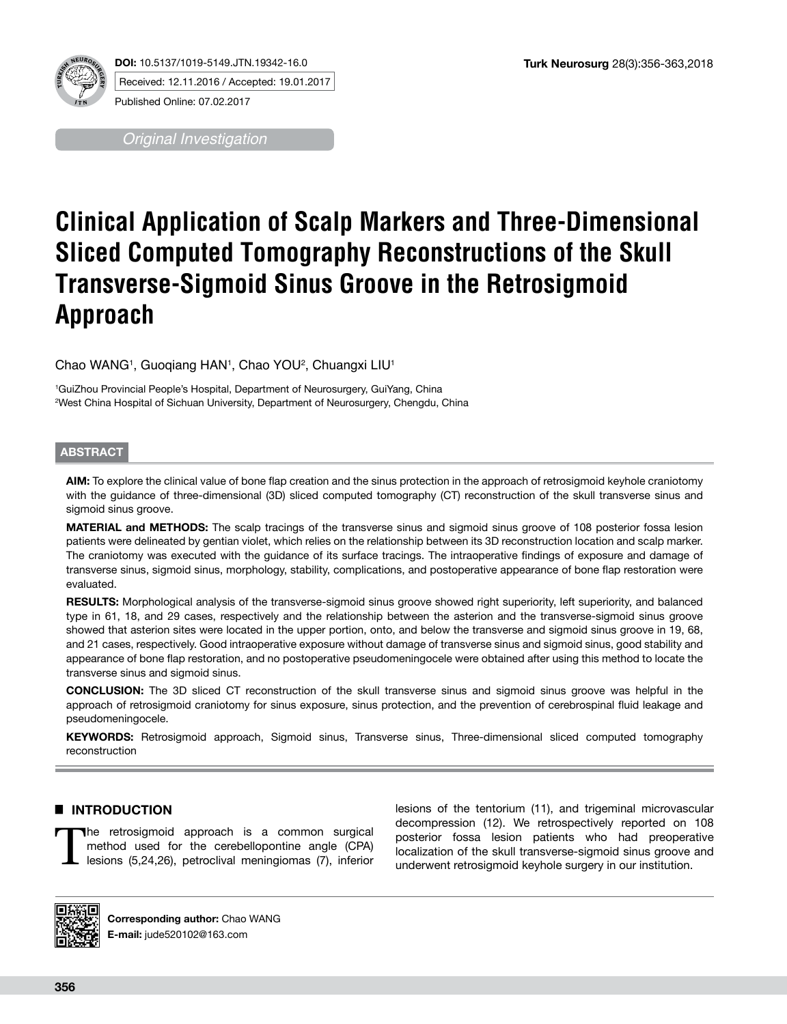

*Original Investigation*

# **Clinical Application of Scalp Markers and Three-Dimensional Sliced Computed Tomography Reconstructions of the Skull Transverse-Sigmoid Sinus Groove in the Retrosigmoid Approach**

Chao WANG1, Guoqiang HAN1, Chao YOU<del>2, Chuangxi LIU1</del>

1 GuiZhou Provincial People's Hospital, Department of Neurosurgery, GuiYang, China 2 West China Hospital of Sichuan University, Department of Neurosurgery, Chengdu, China

## **ABSTRACT**

**AIM:** To explore the clinical value of bone flap creation and the sinus protection in the approach of retrosigmoid keyhole craniotomy with the guidance of three-dimensional (3D) sliced computed tomography (CT) reconstruction of the skull transverse sinus and sigmoid sinus groove.

**MATERIAL and METHODS:** The scalp tracings of the transverse sinus and sigmoid sinus groove of 108 posterior fossa lesion patients were delineated by gentian violet, which relies on the relationship between its 3D reconstruction location and scalp marker. The craniotomy was executed with the guidance of its surface tracings. The intraoperative findings of exposure and damage of transverse sinus, sigmoid sinus, morphology, stability, complications, and postoperative appearance of bone flap restoration were evaluated.

**RESULTS:** Morphological analysis of the transverse-sigmoid sinus groove showed right superiority, left superiority, and balanced type in 61, 18, and 29 cases, respectively and the relationship between the asterion and the transverse-sigmoid sinus groove showed that asterion sites were located in the upper portion, onto, and below the transverse and sigmoid sinus groove in 19, 68, and 21 cases, respectively. Good intraoperative exposure without damage of transverse sinus and sigmoid sinus, good stability and appearance of bone flap restoration, and no postoperative pseudomeningocele were obtained after using this method to locate the transverse sinus and sigmoid sinus.

**CONCLUSION:** The 3D sliced CT reconstruction of the skull transverse sinus and sigmoid sinus groove was helpful in the approach of retrosigmoid craniotomy for sinus exposure, sinus protection, and the prevention of cerebrospinal fluid leakage and pseudomeningocele.

**KEYWORDS:** Retrosigmoid approach, Sigmoid sinus, Transverse sinus, Three-dimensional sliced computed tomography reconstruction

## █ **INTRODUCTION**

The retrosigmoid approach is a common surgical method used for the cerebellopontine angle (CPA) lesions (5,24,26), petroclival meningiomas (7), inferior lesions of the tentorium (11), and trigeminal microvascular decompression (12). We retrospectively reported on 108 posterior fossa lesion patients who had preoperative localization of the skull transverse-sigmoid sinus groove and underwent retrosigmoid keyhole surgery in our institution.



**Corresponding author:** Chao WANG **E-mail:** jude520102@163.com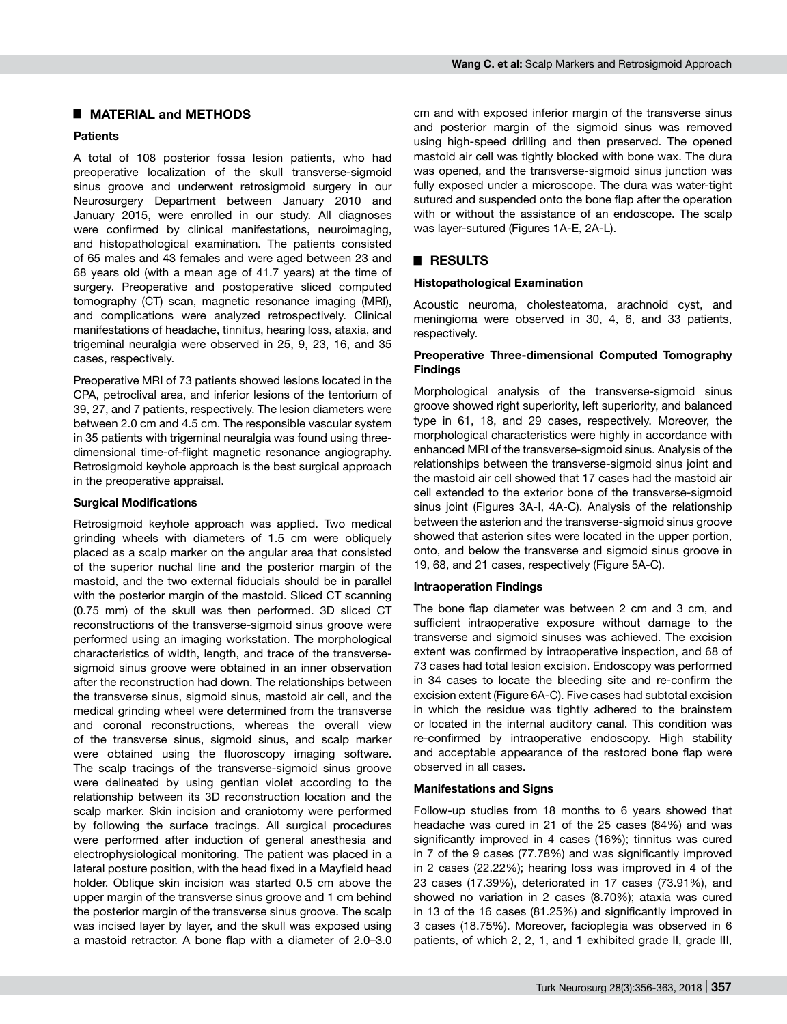### █ **MATERIAL and METHODS**

#### **Patients**

A total of 108 posterior fossa lesion patients, who had preoperative localization of the skull transverse-sigmoid sinus groove and underwent retrosigmoid surgery in our Neurosurgery Department between January 2010 and January 2015, were enrolled in our study. All diagnoses were confirmed by clinical manifestations, neuroimaging, and histopathological examination. The patients consisted of 65 males and 43 females and were aged between 23 and 68 years old (with a mean age of 41.7 years) at the time of surgery. Preoperative and postoperative sliced computed tomography (CT) scan, magnetic resonance imaging (MRI), and complications were analyzed retrospectively. Clinical manifestations of headache, tinnitus, hearing loss, ataxia, and trigeminal neuralgia were observed in 25, 9, 23, 16, and 35 cases, respectively.

Preoperative MRI of 73 patients showed lesions located in the CPA, petroclival area, and inferior lesions of the tentorium of 39, 27, and 7 patients, respectively. The lesion diameters were between 2.0 cm and 4.5 cm. The responsible vascular system in 35 patients with trigeminal neuralgia was found using threedimensional time-of-flight magnetic resonance angiography. Retrosigmoid keyhole approach is the best surgical approach in the preoperative appraisal.

#### **Surgical Modifications**

Retrosigmoid keyhole approach was applied. Two medical grinding wheels with diameters of 1.5 cm were obliquely placed as a scalp marker on the angular area that consisted of the superior nuchal line and the posterior margin of the mastoid, and the two external fiducials should be in parallel with the posterior margin of the mastoid. Sliced CT scanning (0.75 mm) of the skull was then performed. 3D sliced CT reconstructions of the transverse-sigmoid sinus groove were performed using an imaging workstation. The morphological characteristics of width, length, and trace of the transversesigmoid sinus groove were obtained in an inner observation after the reconstruction had down. The relationships between the transverse sinus, sigmoid sinus, mastoid air cell, and the medical grinding wheel were determined from the transverse and coronal reconstructions, whereas the overall view of the transverse sinus, sigmoid sinus, and scalp marker were obtained using the fluoroscopy imaging software. The scalp tracings of the transverse-sigmoid sinus groove were delineated by using gentian violet according to the relationship between its 3D reconstruction location and the scalp marker. Skin incision and craniotomy were performed by following the surface tracings. All surgical procedures were performed after induction of general anesthesia and electrophysiological monitoring. The patient was placed in a lateral posture position, with the head fixed in a Mayfield head holder. Oblique skin incision was started 0.5 cm above the upper margin of the transverse sinus groove and 1 cm behind the posterior margin of the transverse sinus groove. The scalp was incised layer by layer, and the skull was exposed using a mastoid retractor. A bone flap with a diameter of 2.0–3.0 cm and with exposed inferior margin of the transverse sinus and posterior margin of the sigmoid sinus was removed using high-speed drilling and then preserved. The opened mastoid air cell was tightly blocked with bone wax. The dura was opened, and the transverse-sigmoid sinus junction was fully exposed under a microscope. The dura was water-tight sutured and suspended onto the bone flap after the operation with or without the assistance of an endoscope. The scalp was layer-sutured (Figures 1A-E, 2A-L).

## █ **RESULTS**

#### **Histopathological Examination**

Acoustic neuroma, cholesteatoma, arachnoid cyst, and meningioma were observed in 30, 4, 6, and 33 patients, respectively.

## **Preoperative Three-dimensional Computed Tomography Findings**

Morphological analysis of the transverse-sigmoid sinus groove showed right superiority, left superiority, and balanced type in 61, 18, and 29 cases, respectively. Moreover, the morphological characteristics were highly in accordance with enhanced MRI of the transverse-sigmoid sinus. Analysis of the relationships between the transverse-sigmoid sinus joint and the mastoid air cell showed that 17 cases had the mastoid air cell extended to the exterior bone of the transverse-sigmoid sinus joint (Figures 3A-I, 4A-C). Analysis of the relationship between the asterion and the transverse-sigmoid sinus groove showed that asterion sites were located in the upper portion, onto, and below the transverse and sigmoid sinus groove in 19, 68, and 21 cases, respectively (Figure 5A-C).

#### **Intraoperation Findings**

The bone flap diameter was between 2 cm and 3 cm, and sufficient intraoperative exposure without damage to the transverse and sigmoid sinuses was achieved. The excision extent was confirmed by intraoperative inspection, and 68 of 73 cases had total lesion excision. Endoscopy was performed in 34 cases to locate the bleeding site and re-confirm the excision extent (Figure 6A-C). Five cases had subtotal excision in which the residue was tightly adhered to the brainstem or located in the internal auditory canal. This condition was re-confirmed by intraoperative endoscopy. High stability and acceptable appearance of the restored bone flap were observed in all cases.

#### **Manifestations and Signs**

Follow-up studies from 18 months to 6 years showed that headache was cured in 21 of the 25 cases (84%) and was significantly improved in 4 cases (16%); tinnitus was cured in 7 of the 9 cases (77.78%) and was significantly improved in 2 cases (22.22%); hearing loss was improved in 4 of the 23 cases (17.39%), deteriorated in 17 cases (73.91%), and showed no variation in 2 cases (8.70%); ataxia was cured in 13 of the 16 cases (81.25%) and significantly improved in 3 cases (18.75%). Moreover, facioplegia was observed in 6 patients, of which 2, 2, 1, and 1 exhibited grade II, grade III,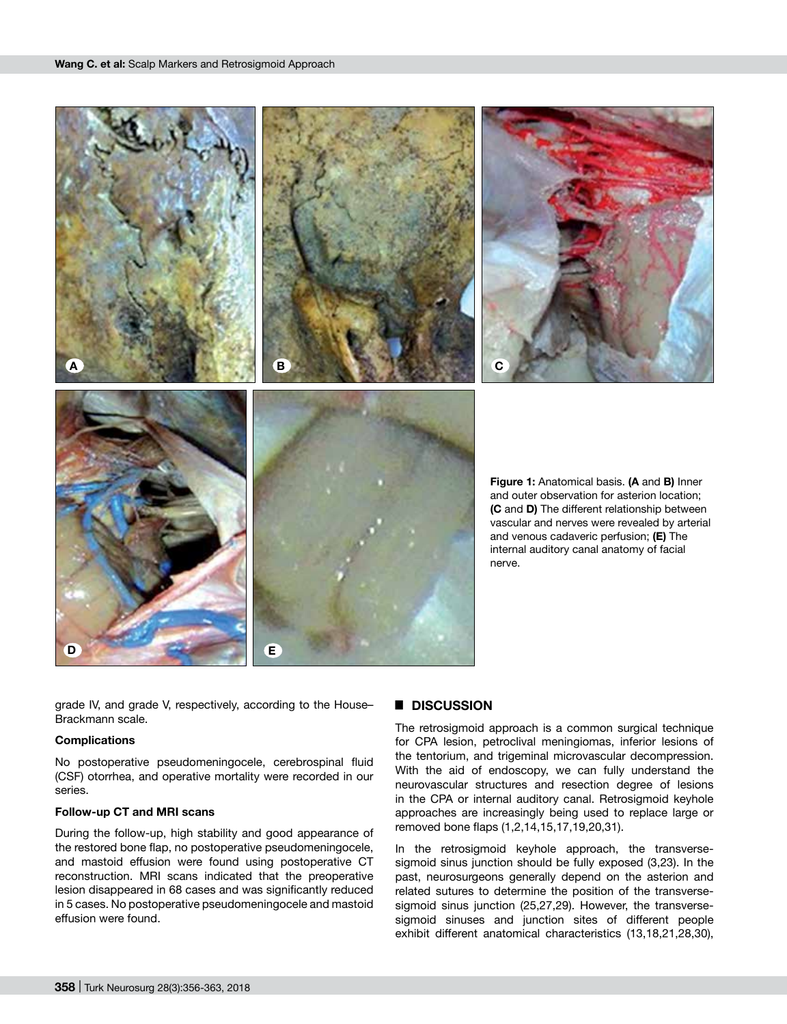

grade IV, and grade V, respectively, according to the House– Brackmann scale.

#### **Complications**

No postoperative pseudomeningocele, cerebrospinal fluid (CSF) otorrhea, and operative mortality were recorded in our series.

#### **Follow-up CT and MRI scans**

During the follow-up, high stability and good appearance of the restored bone flap, no postoperative pseudomeningocele, and mastoid effusion were found using postoperative CT reconstruction. MRI scans indicated that the preoperative lesion disappeared in 68 cases and was significantly reduced in 5 cases. No postoperative pseudomeningocele and mastoid effusion were found.

### █ **DISCUSSION**

The retrosigmoid approach is a common surgical technique for CPA lesion, petroclival meningiomas, inferior lesions of the tentorium, and trigeminal microvascular decompression. With the aid of endoscopy, we can fully understand the neurovascular structures and resection degree of lesions in the CPA or internal auditory canal. Retrosigmoid keyhole approaches are increasingly being used to replace large or removed bone flaps (1,2,14,15,17,19,20,31).

In the retrosigmoid keyhole approach, the transversesigmoid sinus junction should be fully exposed (3,23). In the past, neurosurgeons generally depend on the asterion and related sutures to determine the position of the transversesigmoid sinus junction (25,27,29). However, the transversesigmoid sinuses and junction sites of different people exhibit different anatomical characteristics (13,18,21,28,30),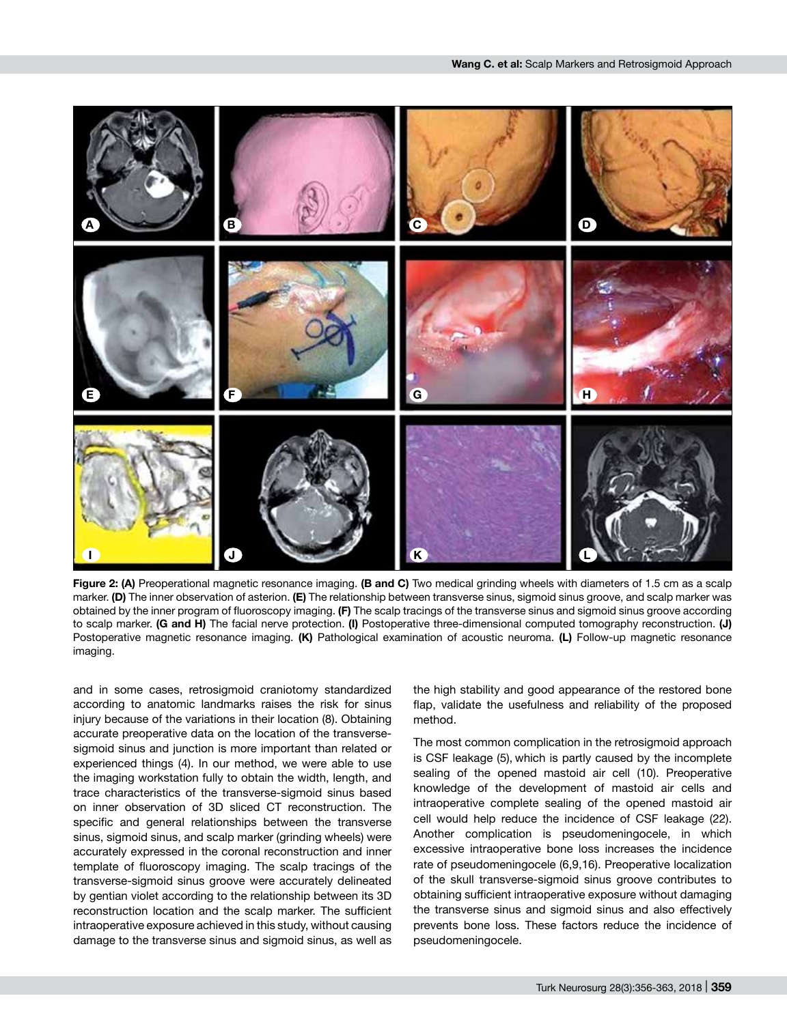

**Figure 2: (A)** Preoperational magnetic resonance imaging. **(B and C)** Two medical grinding wheels with diameters of 1.5 cm as a scalp marker. **(D)** The inner observation of asterion. **(E)** The relationship between transverse sinus, sigmoid sinus groove, and scalp marker was obtained by the inner program of fluoroscopy imaging. **(F)** The scalp tracings of the transverse sinus and sigmoid sinus groove according to scalp marker. **(G and H)** The facial nerve protection. **(I)** Postoperative three-dimensional computed tomography reconstruction. **(J)** Postoperative magnetic resonance imaging. **(K)** Pathological examination of acoustic neuroma. **(L)** Follow-up magnetic resonance imaging.

and in some cases, retrosigmoid craniotomy standardized according to anatomic landmarks raises the risk for sinus injury because of the variations in their location (8). Obtaining accurate preoperative data on the location of the transversesigmoid sinus and junction is more important than related or experienced things (4). In our method, we were able to use the imaging workstation fully to obtain the width, length, and trace characteristics of the transverse-sigmoid sinus based on inner observation of 3D sliced CT reconstruction. The specific and general relationships between the transverse sinus, sigmoid sinus, and scalp marker (grinding wheels) were accurately expressed in the coronal reconstruction and inner template of fluoroscopy imaging. The scalp tracings of the transverse-sigmoid sinus groove were accurately delineated by gentian violet according to the relationship between its 3D reconstruction location and the scalp marker. The sufficient intraoperative exposure achieved in this study, without causing damage to the transverse sinus and sigmoid sinus, as well as

the high stability and good appearance of the restored bone flap, validate the usefulness and reliability of the proposed method.

The most common complication in the retrosigmoid approach is CSF leakage (5), which is partly caused by the incomplete sealing of the opened mastoid air cell (10). Preoperative knowledge of the development of mastoid air cells and intraoperative complete sealing of the opened mastoid air cell would help reduce the incidence of CSF leakage (22). Another complication is pseudomeningocele, in which excessive intraoperative bone loss increases the incidence rate of pseudomeningocele (6,9,16). Preoperative localization of the skull transverse-sigmoid sinus groove contributes to obtaining sufficient intraoperative exposure without damaging the transverse sinus and sigmoid sinus and also effectively prevents bone loss. These factors reduce the incidence of pseudomeningocele.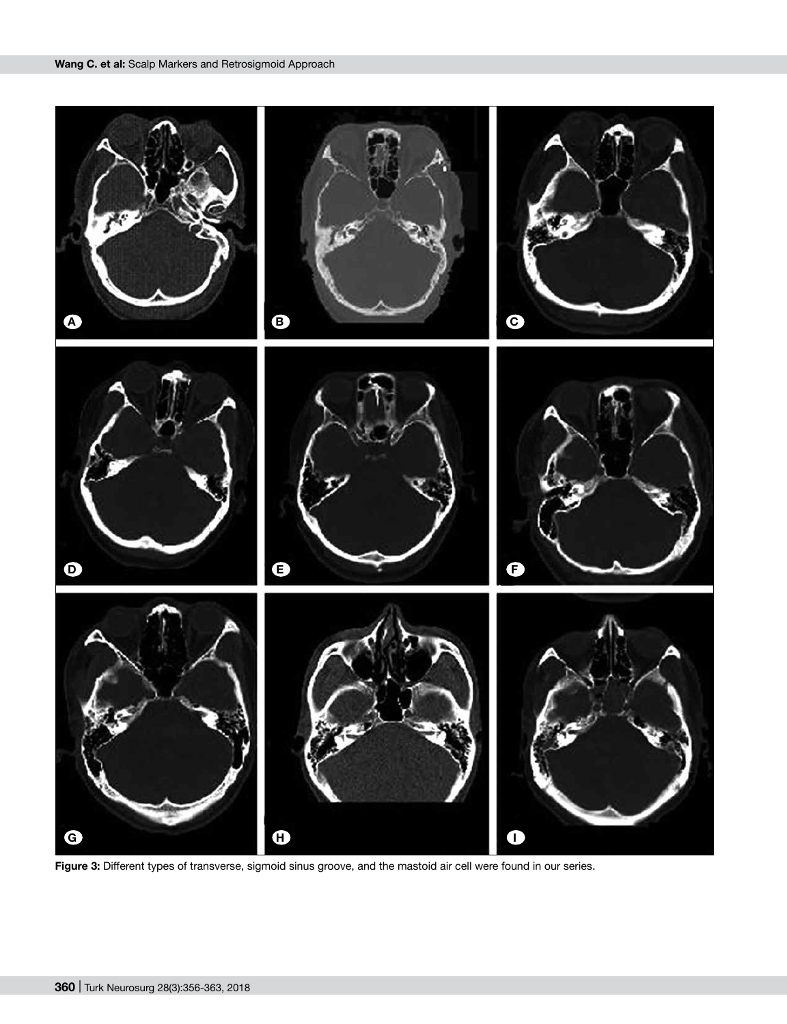

**Figure 3:** Different types of transverse, sigmoid sinus groove, and the mastoid air cell were found in our series.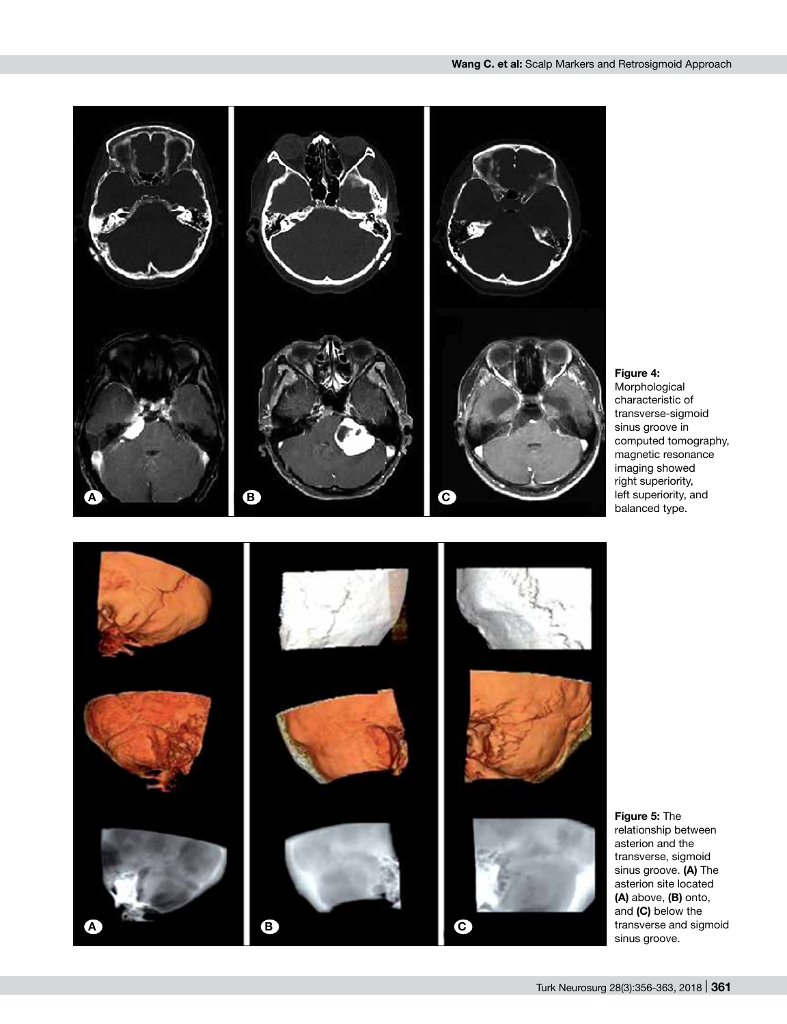

**Figure 4:** Morphological characteristic of transverse-sigmoid sinus groove in computed tomography, magnetic resonance imaging showed right superiority, left superiority, and balanced type.

**Figure 5:** The relationship between asterion and the transverse, sigmoid sinus groove. **(A)** The asterion site located **(A)** above, **(B)** onto, and **(C)** below the transverse and sigmoid sinus groove.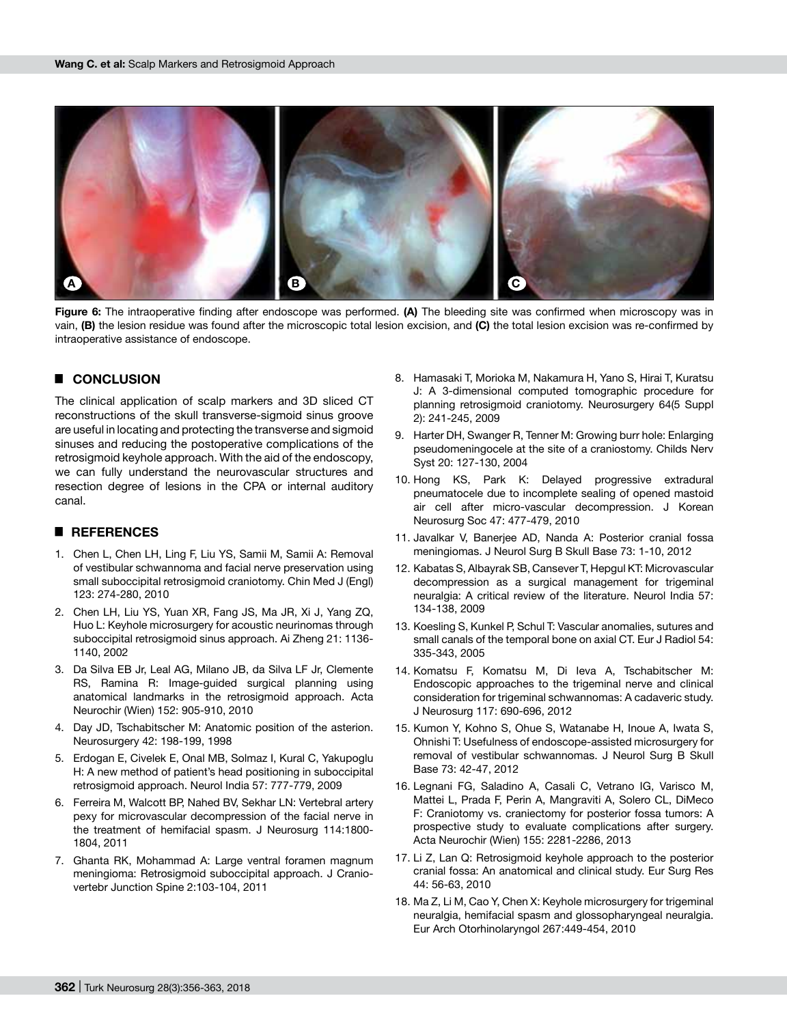

**Figure 6:** The intraoperative finding after endoscope was performed. **(A)** The bleeding site was confirmed when microscopy was in vain, **(B)** the lesion residue was found after the microscopic total lesion excision, and **(C)** the total lesion excision was re-confirmed by intraoperative assistance of endoscope.

## █ **CONCLUSION**

The clinical application of scalp markers and 3D sliced CT reconstructions of the skull transverse-sigmoid sinus groove are useful in locating and protecting the transverse and sigmoid sinuses and reducing the postoperative complications of the retrosigmoid keyhole approach. With the aid of the endoscopy, we can fully understand the neurovascular structures and resection degree of lesions in the CPA or internal auditory canal.

## █ **REFERENCES**

- 1. Chen L, Chen LH, Ling F, Liu YS, Samii M, Samii A: Removal of vestibular schwannoma and facial nerve preservation using small suboccipital retrosigmoid craniotomy. Chin Med J (Engl) 123: 274-280, 2010
- 2. Chen LH, Liu YS, Yuan XR, Fang JS, Ma JR, Xi J, Yang ZQ, Huo L: Keyhole microsurgery for acoustic neurinomas through suboccipital retrosigmoid sinus approach. Ai Zheng 21: 1136- 1140, 2002
- 3. Da Silva EB Jr, Leal AG, Milano JB, da Silva LF Jr, Clemente RS, Ramina R: Image-guided surgical planning using anatomical landmarks in the retrosigmoid approach. Acta Neurochir (Wien) 152: 905-910, 2010
- 4. Day JD, Tschabitscher M: Anatomic position of the asterion. Neurosurgery 42: 198-199, 1998
- 5. Erdogan E, Civelek E, Onal MB, Solmaz I, Kural C, Yakupoglu H: A new method of patient's head positioning in suboccipital retrosigmoid approach. Neurol India 57: 777-779, 2009
- 6. Ferreira M, Walcott BP, Nahed BV, Sekhar LN: Vertebral artery pexy for microvascular decompression of the facial nerve in the treatment of hemifacial spasm. J Neurosurg 114:1800- 1804, 2011
- 7. Ghanta RK, Mohammad A: Large ventral foramen magnum meningioma: Retrosigmoid suboccipital approach. J Craniovertebr Junction Spine 2:103-104, 2011
- 8. Hamasaki T, Morioka M, Nakamura H, Yano S, Hirai T, Kuratsu J: A 3-dimensional computed tomographic procedure for planning retrosigmoid craniotomy. Neurosurgery 64(5 Suppl 2): 241-245, 2009
- 9. Harter DH, Swanger R, Tenner M: Growing burr hole: Enlarging pseudomeningocele at the site of a craniostomy. Childs Nerv Syst 20: 127-130, 2004
- 10. Hong KS, Park K: Delayed progressive extradural pneumatocele due to incomplete sealing of opened mastoid air cell after micro-vascular decompression. J Korean Neurosurg Soc 47: 477-479, 2010
- 11. Javalkar V, Banerjee AD, Nanda A: Posterior cranial fossa meningiomas. J Neurol Surg B Skull Base 73: 1-10, 2012
- 12. Kabatas S, Albayrak SB, Cansever T, Hepgul KT: Microvascular decompression as a surgical management for trigeminal neuralgia: A critical review of the literature. Neurol India 57: 134-138, 2009
- 13. Koesling S, Kunkel P, Schul T: Vascular anomalies, sutures and small canals of the temporal bone on axial CT. Eur J Radiol 54: 335-343, 2005
- 14. Komatsu F, Komatsu M, Di Ieva A, Tschabitscher M: Endoscopic approaches to the trigeminal nerve and clinical consideration for trigeminal schwannomas: A cadaveric study. J Neurosurg 117: 690-696, 2012
- 15. Kumon Y, Kohno S, Ohue S, Watanabe H, Inoue A, Iwata S, Ohnishi T: Usefulness of endoscope-assisted microsurgery for removal of vestibular schwannomas. J Neurol Surg B Skull Base 73: 42-47, 2012
- 16. Legnani FG, Saladino A, Casali C, Vetrano IG, Varisco M, Mattei L, Prada F, Perin A, Mangraviti A, Solero CL, DiMeco F: Craniotomy vs. craniectomy for posterior fossa tumors: A prospective study to evaluate complications after surgery. Acta Neurochir (Wien) 155: 2281-2286, 2013
- 17. Li Z, Lan Q: Retrosigmoid keyhole approach to the posterior cranial fossa: An anatomical and clinical study. Eur Surg Res 44: 56-63, 2010
- 18. Ma Z, Li M, Cao Y, Chen X: Keyhole microsurgery for trigeminal neuralgia, hemifacial spasm and glossopharyngeal neuralgia. Eur Arch Otorhinolaryngol 267:449-454, 2010